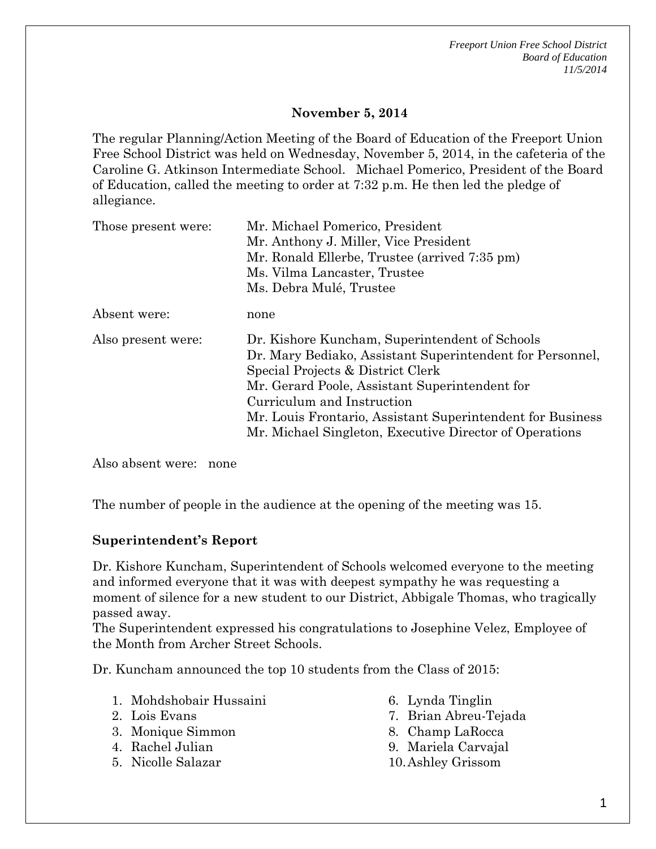*Freeport Union Free School District Board of Education 11/5/2014*

### **November 5, 2014**

The regular Planning/Action Meeting of the Board of Education of the Freeport Union Free School District was held on Wednesday, November 5, 2014, in the cafeteria of the Caroline G. Atkinson Intermediate School. Michael Pomerico, President of the Board of Education, called the meeting to order at 7:32 p.m. He then led the pledge of allegiance.

| Those present were: | Mr. Michael Pomerico, President<br>Mr. Anthony J. Miller, Vice President<br>Mr. Ronald Ellerbe, Trustee (arrived 7:35 pm)<br>Ms. Vilma Lancaster, Trustee<br>Ms. Debra Mulé, Trustee                                                                                                                                                                      |
|---------------------|-----------------------------------------------------------------------------------------------------------------------------------------------------------------------------------------------------------------------------------------------------------------------------------------------------------------------------------------------------------|
| Absent were:        | none                                                                                                                                                                                                                                                                                                                                                      |
| Also present were:  | Dr. Kishore Kuncham, Superintendent of Schools<br>Dr. Mary Bediako, Assistant Superintendent for Personnel,<br>Special Projects & District Clerk<br>Mr. Gerard Poole, Assistant Superintendent for<br>Curriculum and Instruction<br>Mr. Louis Frontario, Assistant Superintendent for Business<br>Mr. Michael Singleton, Executive Director of Operations |

Also absent were: none

The number of people in the audience at the opening of the meeting was 15.

#### **Superintendent's Report**

Dr. Kishore Kuncham, Superintendent of Schools welcomed everyone to the meeting and informed everyone that it was with deepest sympathy he was requesting a moment of silence for a new student to our District, Abbigale Thomas, who tragically passed away.

The Superintendent expressed his congratulations to Josephine Velez, Employee of the Month from Archer Street Schools.

Dr. Kuncham announced the top 10 students from the Class of 2015:

- 1. Mohdshobair Hussaini
- 2. Lois Evans
- 3. Monique Simmon
- 4. Rachel Julian
- 5. Nicolle Salazar
- 6. Lynda Tinglin
- 7. Brian Abreu-Tejada
- 8. Champ LaRocca
- 9. Mariela Carvajal
- 10.Ashley Grissom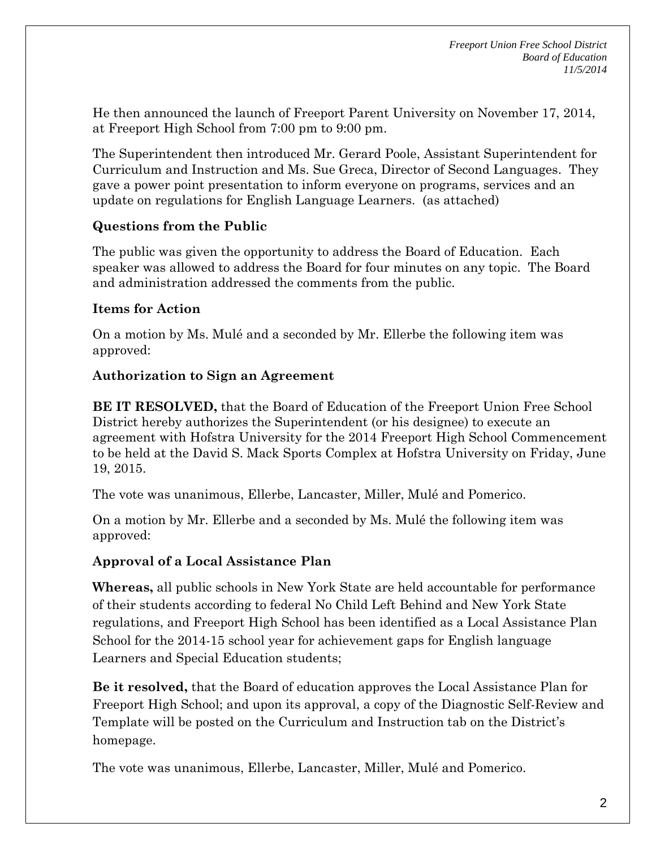He then announced the launch of Freeport Parent University on November 17, 2014, at Freeport High School from 7:00 pm to 9:00 pm.

The Superintendent then introduced Mr. Gerard Poole, Assistant Superintendent for Curriculum and Instruction and Ms. Sue Greca, Director of Second Languages. They gave a power point presentation to inform everyone on programs, services and an update on regulations for English Language Learners. (as attached)

## **Questions from the Public**

The public was given the opportunity to address the Board of Education. Each speaker was allowed to address the Board for four minutes on any topic. The Board and administration addressed the comments from the public.

# **Items for Action**

On a motion by Ms. Mulé and a seconded by Mr. Ellerbe the following item was approved:

# **Authorization to Sign an Agreement**

**BE IT RESOLVED,** that the Board of Education of the Freeport Union Free School District hereby authorizes the Superintendent (or his designee) to execute an agreement with Hofstra University for the 2014 Freeport High School Commencement to be held at the David S. Mack Sports Complex at Hofstra University on Friday, June 19, 2015.

The vote was unanimous, Ellerbe, Lancaster, Miller, Mulé and Pomerico.

On a motion by Mr. Ellerbe and a seconded by Ms. Mulé the following item was approved:

## **Approval of a Local Assistance Plan**

**Whereas,** all public schools in New York State are held accountable for performance of their students according to federal No Child Left Behind and New York State regulations, and Freeport High School has been identified as a Local Assistance Plan School for the 2014-15 school year for achievement gaps for English language Learners and Special Education students;

**Be it resolved,** that the Board of education approves the Local Assistance Plan for Freeport High School; and upon its approval, a copy of the Diagnostic Self-Review and Template will be posted on the Curriculum and Instruction tab on the District's homepage.

The vote was unanimous, Ellerbe, Lancaster, Miller, Mulé and Pomerico.